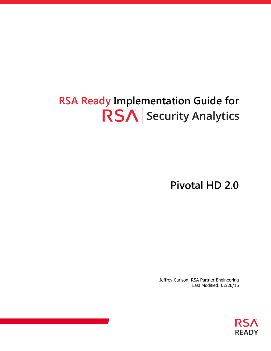### **RSA Ready Implementation Guide for RSA** Security Analytics

**Pivotal HD 2.0**

Jeffrey Carlson, RSA Partner Engineering Last Modified: 02/26/16

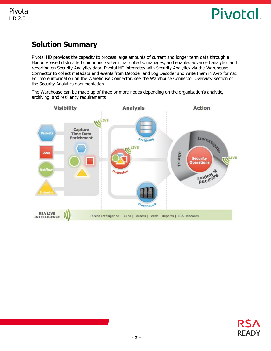### **Solution Summary**

Pivotal HD provides the capacity to process large amounts of current and longer term data through a Hadoop-based distributed computing system that collects, manages, and enables advanced analytics and reporting on Security Analytics data. Pivotal HD integrates with Security Analytics via the Warehouse Connector to collect metadata and events from Decoder and Log Decoder and write them in Avro format. For more information on the Warehouse Connector, see the Warehouse Connector Overview section of the Security Analytics documentation.

The Warehouse can be made up of three or more nodes depending on the organization's analytic, archiving, and resiliency requirements



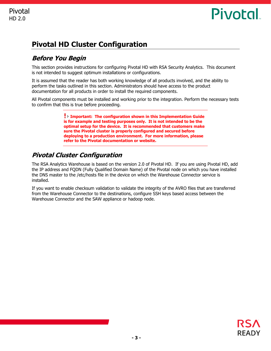### **Pivotal HD Cluster Configuration**

### **Before You Begin**

This section provides instructions for configuring Pivotal HD with RSA Security Analytics. This document is not intended to suggest optimum installations or configurations.

It is assumed that the reader has both working knowledge of all products involved, and the ability to perform the tasks outlined in this section. Administrators should have access to the product documentation for all products in order to install the required components.

All Pivotal components must be installed and working prior to the integration. Perform the necessary tests to confirm that this is true before proceeding.

> **Important: The configuration shown in this Implementation Guide is for example and testing purposes only. It is not intended to be the optimal setup for the device. It is recommended that customers make sure the Pivotal cluster is properly configured and secured before deploying to a production environment. For more information, please refer to the Pivotal documentation or website.**

### **Pivotal Cluster Configuration**

The RSA Analytics Warehouse is based on the version 2.0 of Pivotal HD. If you are using Pivotal HD, add the IP address and FQDN (Fully Qualified Domain Name) of the Pivotal node on which you have installed the DNS master to the /etc/hosts file in the device on which the Warehouse Connector service is installed.

If you want to enable checksum validation to validate the integrity of the AVRO files that are transferred from the Warehouse Connector to the destinations, configure SSH keys based access between the Warehouse Connector and the SAW appliance or hadoop node.

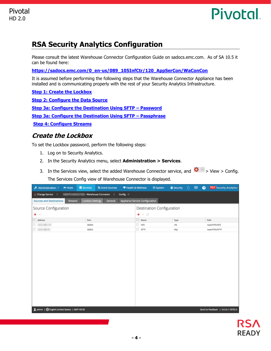

### **RSA Security Analytics Configuration**

Please consult the latest Warehouse Connector Configuration Guide on sadocs.emc.com. As of SA 10.5 it can be found here:

**[https://sadocs.emc.com/0\\_en-us/089\\_105InfCtr/120\\_AppSerCon/WaConCon](https://sadocs.emc.com/0_en-us/089_105InfCtr/120_AppSerCon/WaConCon)**

It is assumed before performing the following steps that the Warehouse Connector Appliance has been installed and is communicating properly with the rest of your Security Analytics Infrastructure.

**[Step 1: Create the Lockbox](#page-3-0)**

**[Step 2: Configure the Data Source](#page-4-0) [Step 3a: Configure the Destination Using SFTP](#page-6-0) – Password [Step 3a: Configure the Destination Using SFTP](#page-6-0) – Passphrase [Step 4: Configure Streams](#page-10-0)**

#### <span id="page-3-0"></span>**Create the Lockbox**

To set the Lockbox password, perform the following steps:

- 1. Log on to Security Analytics.
- 2. In the Security Analytics menu, select **Administration > Services**.
- 3. In the Services view, select the added Warehouse Connector service, and  $\bullet$   $\bullet$  > View > Config.

The Services Config view of Warehouse Connector is displayed.

| Administration<br>$ightharpoonup$ Hosts                                                                                    | <b>SN</b> Event Sources<br>Services<br>Health & Wellness | System                    | <b>B</b> Security <b>the B</b><br>$\bullet$ | <b>RSA</b> Security Analytics       |  |  |  |  |
|----------------------------------------------------------------------------------------------------------------------------|----------------------------------------------------------|---------------------------|---------------------------------------------|-------------------------------------|--|--|--|--|
| Change Service  <br>- Warehouse Connector<br>Config <sup>®</sup><br>- 1                                                    |                                                          |                           |                                             |                                     |  |  |  |  |
| Appliance Service Configuration<br><b>Sources and Destinations</b><br><b>Lockbox Settings</b><br>General<br><b>Streams</b> |                                                          |                           |                                             |                                     |  |  |  |  |
| Source Configuration                                                                                                       |                                                          | Destination Configuration |                                             |                                     |  |  |  |  |
| $+ -$                                                                                                                      |                                                          | $+ - 2$                   |                                             |                                     |  |  |  |  |
| $\Box$ Address                                                                                                             | Port                                                     | $\Box$ Name               | Type                                        | Path                                |  |  |  |  |
| D WEIGHT                                                                                                                   | 56004                                                    | $\Box$ NFS                | nfs                                         | /saw/FIPS/NFS                       |  |  |  |  |
| D WARNER                                                                                                                   | 56002                                                    | $\Box$ SFTP               | sftp                                        | /saw/FIPS/SFTP                      |  |  |  |  |
| Ladmin   SEnglish (United States)   GMT+05:30                                                                              |                                                          |                           |                                             | Send Us Feedback   10.5.0.1.18703-5 |  |  |  |  |

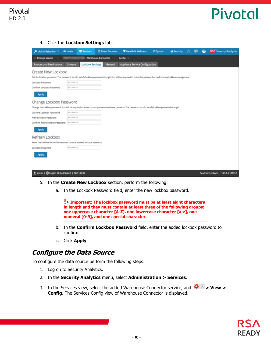4. Click the **Lockbox Settings** tab.

| Administration                                                            | A Hosts        | <b>E</b> Services       | <b>N</b> Event Sources | Health & Wellness                                                                                                                                              | System | <b>B</b> Security | റ | ℯ | <b>RSA</b> Security Analytics       |
|---------------------------------------------------------------------------|----------------|-------------------------|------------------------|----------------------------------------------------------------------------------------------------------------------------------------------------------------|--------|-------------------|---|---|-------------------------------------|
| Change Service                                                            |                |                         | - Warehouse Connector  | Config <sup>3</sup>                                                                                                                                            |        |                   |   |   |                                     |
| <b>Sources and Destinations</b>                                           | <b>Streams</b> | <b>Lockbox Settings</b> | General                | <b>Appliance Service Configuration</b>                                                                                                                         |        |                   |   |   |                                     |
| Create New Lockbox                                                        |                |                         |                        |                                                                                                                                                                |        |                   |   |   |                                     |
|                                                                           |                |                         |                        | Set the lockbox password. The password should satisfy lockbox password strength.You will be required to enter this password to perform any lockbox management. |        |                   |   |   |                                     |
| Lockbox Password                                                          | ********       |                         |                        |                                                                                                                                                                |        |                   |   |   |                                     |
| Confirm Lockbox Password                                                  | ********       |                         |                        |                                                                                                                                                                |        |                   |   |   |                                     |
| <b>Apply</b>                                                              |                |                         |                        |                                                                                                                                                                |        |                   |   |   |                                     |
| Change Lockbox Password                                                   |                |                         |                        |                                                                                                                                                                |        |                   |   |   |                                     |
|                                                                           |                |                         |                        | Change the lockbox password. You will be required to enter current password and new password.The password should satisfy lockbox password strength.            |        |                   |   |   |                                     |
| Current Lockbox Password                                                  | ********       |                         |                        |                                                                                                                                                                |        |                   |   |   |                                     |
| New Lockbox Password                                                      | ********       |                         |                        |                                                                                                                                                                |        |                   |   |   |                                     |
| Confirm New Lockbox Password                                              | ********       |                         |                        |                                                                                                                                                                |        |                   |   |   |                                     |
| <b>Apply</b>                                                              |                |                         |                        |                                                                                                                                                                |        |                   |   |   |                                     |
| Refresh Lockbox                                                           |                |                         |                        |                                                                                                                                                                |        |                   |   |   |                                     |
| Reset the lockbox.You will be required to enter current lockbox password. |                |                         |                        |                                                                                                                                                                |        |                   |   |   |                                     |
| Lockbox Password                                                          | ********       |                         |                        |                                                                                                                                                                |        |                   |   |   |                                     |
| <b>Apply</b>                                                              |                |                         |                        |                                                                                                                                                                |        |                   |   |   |                                     |
|                                                                           |                |                         |                        |                                                                                                                                                                |        |                   |   |   |                                     |
| Ladmin   English (United States)   GMT+05:30                              |                |                         |                        |                                                                                                                                                                |        |                   |   |   | Send Us Feedback   10.5.0.1.18703-5 |

- 5. In the **Create New Lockbox** section, perform the following:
	- a. In the Lockbox Password field, enter the new lockbox password.

**Important: The lockbox password must be at least eight characters in length and they must contain at least three of the following groups: one uppercase character [A-Z], one lowercase character [a-z], one numeral [0-9], and one special character.**

- b. In the **Confirm Lockbox Password** field, enter the added lockbox password to confirm.
- c. Click **Apply**.

#### <span id="page-4-0"></span>**Configure the Data Source**

To configure the data source perform the following steps:

- 1. Log on to Security Analytics.
- 2. In the **Security Analytics** menu, select **Administration > Services**.
- 3. In the Services view, select the added Warehouse Connector service, and  $\mathbf{\ddot{X}} \odot > \mathbf{View} > \mathbf{View}$ **Config**. The Services Config view of Warehouse Connector is displayed.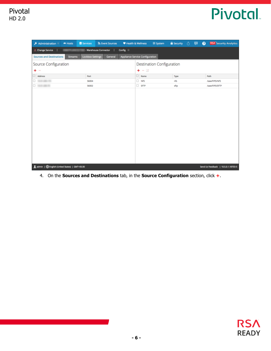| Administration                                | A Hosts                                                               | Services                | R Event Sources | Health & Wellness               |             | System                    | <b>a</b> Security <b>the Community</b> |  | $\bullet$ | <b>RSA</b> Security Analytics       |
|-----------------------------------------------|-----------------------------------------------------------------------|-------------------------|-----------------|---------------------------------|-------------|---------------------------|----------------------------------------|--|-----------|-------------------------------------|
|                                               | A. Change Service  <br>- Warehouse Connector  <br>Config <sup>®</sup> |                         |                 |                                 |             |                           |                                        |  |           |                                     |
| <b>Sources and Destinations</b>               | <b>Streams</b>                                                        | <b>Lockbox Settings</b> | General         | Appliance Service Configuration |             |                           |                                        |  |           |                                     |
| Source Configuration                          |                                                                       |                         |                 |                                 |             | Destination Configuration |                                        |  |           |                                     |
| $+ -$                                         |                                                                       |                         |                 |                                 |             | $+ - \alpha$              |                                        |  |           |                                     |
| $\Box$ Address                                |                                                                       | Port                    |                 |                                 |             | $\Box$ Name               | Type                                   |  |           | Path                                |
| O meaning                                     |                                                                       | 56004                   |                 |                                 | $\Box$ NFS  |                           | nfs                                    |  |           | /saw/FIPS/NFS                       |
| D WASHINGTON                                  |                                                                       | 56002                   |                 |                                 | $\Box$ SFTP |                           | sftp                                   |  |           | /saw/FIPS/SFTP                      |
|                                               |                                                                       |                         |                 |                                 |             |                           |                                        |  |           |                                     |
|                                               |                                                                       |                         |                 |                                 |             |                           |                                        |  |           |                                     |
|                                               |                                                                       |                         |                 |                                 |             |                           |                                        |  |           |                                     |
|                                               |                                                                       |                         |                 |                                 |             |                           |                                        |  |           |                                     |
|                                               |                                                                       |                         |                 |                                 |             |                           |                                        |  |           |                                     |
|                                               |                                                                       |                         |                 |                                 |             |                           |                                        |  |           |                                     |
|                                               |                                                                       |                         |                 |                                 |             |                           |                                        |  |           |                                     |
|                                               |                                                                       |                         |                 |                                 |             |                           |                                        |  |           |                                     |
|                                               |                                                                       |                         |                 |                                 |             |                           |                                        |  |           |                                     |
|                                               |                                                                       |                         |                 |                                 |             |                           |                                        |  |           |                                     |
|                                               |                                                                       |                         |                 |                                 |             |                           |                                        |  |           |                                     |
| Ladmin   @English (United States)   GMT+05:30 |                                                                       |                         |                 |                                 |             |                           |                                        |  |           | Send Us Feedback   10.5.0.1.18703-5 |

#### 4. On the **Sources and Destinations** tab, in the **Source Configuration** section, click **+**.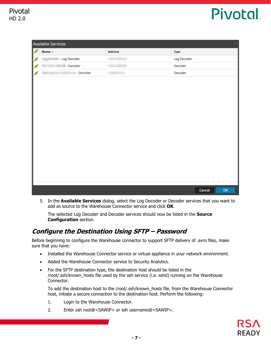|   | Available Services |         | $\times$     |
|---|--------------------|---------|--------------|
| ø | Name $\wedge$      | Address | Type         |
| ø | - Log Decoder      |         | Log Decoder  |
| ø | - Decoder          |         | Decoder      |
|   | - Decoder          |         | Decoder      |
|   |                    |         |              |
|   |                    |         |              |
|   |                    |         |              |
|   |                    |         |              |
|   |                    |         |              |
|   |                    |         |              |
|   |                    |         |              |
|   |                    |         |              |
|   |                    |         |              |
|   |                    |         |              |
|   |                    |         |              |
|   |                    |         |              |
|   |                    |         |              |
|   |                    |         |              |
|   |                    |         | OK<br>Cancel |

5. In the **Available Services** dialog, select the Log Decoder or Decoder services that you want to add as source to the Warehouse Connector service and click **OK**.

The selected Log Decoder and Decoder services should now be listed in the **Source Configuration** section.

#### <span id="page-6-0"></span>**Configure the Destination Using SFTP – Password**

Before beginning to configure the Warehouse connector to support SFTP delivery of .avro files, make sure that you have:

- Installed the Warehouse Connector service or virtual appliance in your network environment.
- Added the Warehouse Connector service to Security Analytics.
- For the SFTP destination type, the destination host should be listed in the /root/.ssh/known\_hosts file used by the ssh service (i.e. sshd) running on the Warehouse Connector.

To add the destination host to the /root/.ssh/known\_hosts file, from the Warehouse Connector host, initiate a secure connection to the destination host. Perform the following:

- 1. Login to the Warehouse Connector.
- 2. Enter ssh root@<SAWIP> or ssh username@<SAWIP>.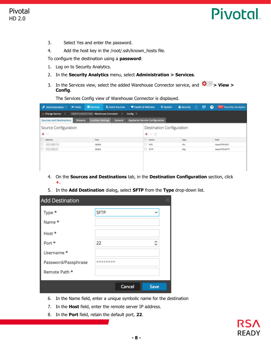- 3. Select Yes and enter the password.
- 4. Add the host key in the /root/.ssh/known\_hosts file.

To configure the destination using a **password**:

- 1. Log on to Security Analytics.
- 2. In the **Security Analytics** menu, select **Administration > Services**.
- 3. In the Services view, select the added Warehouse Connector service, and  $\mathbf{\ddot{X}} \odot > \mathbf{View} > \mathbf{0}$ **Config**.

The Services Config view of Warehouse Connector is displayed.

| Administration<br><b>m</b> Hosts                  | Services                | <b>N</b> Event Sources | Health & Wellness               |             | System                    |       |  | <b>B</b> Security <b>O DI &amp; RSA</b> Security Analytics |
|---------------------------------------------------|-------------------------|------------------------|---------------------------------|-------------|---------------------------|-------|--|------------------------------------------------------------|
| - Change Service                                  | - Warehouse Connector   |                        | Config <sup>3</sup>             |             |                           |       |  |                                                            |
| <b>Sources and Destinations</b><br><b>Streams</b> | <b>Lockbox Settings</b> | General                | Appliance Service Configuration |             |                           |       |  |                                                            |
| Source Configuration<br>$+ -$                     |                         |                        |                                 | $+ - 2$     | Destination Configuration |       |  |                                                            |
| Address                                           | Port                    |                        |                                 | $\Box$ Name |                           | Type  |  | Path                                                       |
|                                                   | 56004                   |                        |                                 | NFS         |                           | nts   |  | /saw/FIPS/NFS                                              |
| D WANNA                                           | 56002                   |                        |                                 | 5 FTP       |                           | sftp: |  | /saw/FIPS/SFTP                                             |
|                                                   |                         |                        |                                 |             |                           |       |  |                                                            |

- 4. On the **Sources and Destinations** tab, in the **Destination Configuration** section, click **+**.
- 5. In the **Add Destination** dialog, select **SFTP** from the **Type** drop-down list.

| <b>Add Destination</b> |             |               |              |
|------------------------|-------------|---------------|--------------|
| Type *                 | <b>SFTP</b> |               | $\checkmark$ |
| Name *                 |             |               |              |
| Host *                 |             |               |              |
| Port *                 | 22          |               | ≎            |
| Username *             |             |               |              |
| Password/Passphrase    | ********    |               |              |
| Remote Path *          |             |               |              |
|                        |             | <b>Cancel</b> | <b>Save</b>  |

- 6. In the Name field, enter a unique symbolic name for the destination
- 7. In the **Host** field, enter the remote server IP address.
- 8. In the **Port** field, retain the default port, **22**.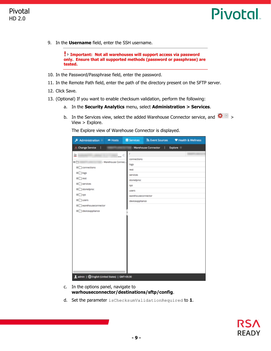

9. In the **Username** field, enter the SSH username.

**Important: Not all warehouses will support access via password only. Ensure that all supported methods (password or passphrase) are tested.**

- 10. In the Password/Passphrase field, enter the password.
- 11. In the Remote Path field, enter the path of the directory present on the SFTP server.
- 12. Click Save.
- 13. (Optional) If you want to enable checksum validation, perform the following:
	- a. In the **Security Analytics** menu, select **Administration > Services**.
	- b. In the Services view, select the added Warehouse Connector service, and  $\mathbf{\ddot{X}} \odot$  > View > Explore.

The Explore view of Warehouse Connector is displayed.

- c. In the options panel, navigate to **warhouseconnector/destinations/sftp/config**.
- d. Set the parameter isChecksumValidationRequired to **1**.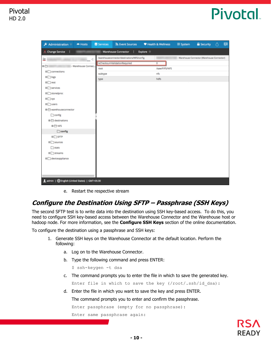| Administration $\circledast$                  | = Hosts             | Services                     | <b>SN</b> Event Sources                     |                      | Health & Wellness | <b>三 System</b> | <b>B</b> Security                           | ⊙. | - ø |
|-----------------------------------------------|---------------------|------------------------------|---------------------------------------------|----------------------|-------------------|-----------------|---------------------------------------------|----|-----|
| Change Service<br>п                           |                     | - Warehouse Connector        |                                             | Explore <sup>®</sup> |                   |                 |                                             |    |     |
| 旱                                             | $  <$               |                              | /warehouseconnector/destinations/NFS/config |                      |                   |                 | - Warehouse Connector (Warehouse Connector) |    |     |
| =⊖                                            | - Warehouse Connec. | isChecksumValidationRequired |                                             |                      | 0                 |                 |                                             |    |     |
| <b>□□</b> connections                         | root                |                              |                                             |                      | /saw/FIPS/NFS     |                 |                                             |    |     |
| <b>□□ logs</b>                                |                     | subtype                      |                                             |                      | nfs               |                 |                                             |    |     |
| <b>□□rest</b>                                 | type                |                              |                                             |                      | hdfs              |                 |                                             |    |     |
| <b>El Services</b>                            |                     |                              |                                             |                      |                   |                 |                                             |    |     |
| <b>□</b> storedproc                           |                     |                              |                                             |                      |                   |                 |                                             |    |     |
| <b>□□sys</b>                                  |                     |                              |                                             |                      |                   |                 |                                             |    |     |
| $\Box$ users                                  |                     |                              |                                             |                      |                   |                 |                                             |    |     |
| ■<br>Warehouseconnector                       |                     |                              |                                             |                      |                   |                 |                                             |    |     |
| $\Box$ config                                 |                     |                              |                                             |                      |                   |                 |                                             |    |     |
| ■<br>destinations                             |                     |                              |                                             |                      |                   |                 |                                             |    |     |
| ■日NFS                                         |                     |                              |                                             |                      |                   |                 |                                             |    |     |
| $\Box$ config                                 |                     |                              |                                             |                      |                   |                 |                                             |    |     |
| <b>EI</b> □ SFTP                              |                     |                              |                                             |                      |                   |                 |                                             |    |     |
| $\Box$ sources                                |                     |                              |                                             |                      |                   |                 |                                             |    |     |
| $\Box$ stats                                  |                     |                              |                                             |                      |                   |                 |                                             |    |     |
| $\square$ streams                             |                     |                              |                                             |                      |                   |                 |                                             |    |     |
|                                               |                     |                              |                                             |                      |                   |                 |                                             |    |     |
| D deviceappliance                             |                     |                              |                                             |                      |                   |                 |                                             |    |     |
|                                               |                     |                              |                                             |                      |                   |                 |                                             |    |     |
|                                               |                     |                              |                                             |                      |                   |                 |                                             |    |     |
|                                               |                     |                              |                                             |                      |                   |                 |                                             |    |     |
| Ladmin   @English (United States)   GMT+05:30 |                     |                              |                                             |                      |                   |                 |                                             |    |     |

e. Restart the respective stream

#### **Configure the Destination Using SFTP – Passphrase (SSH Keys)**

The second SFTP test is to write data into the destination using SSH key-based access. To do this, you need to configure SSH key-based access between the Warehouse Connector and the Warehouse host or hadoop node. For more information, see the **Configure SSH Keys** section of the online documentation.

To configure the destination using a passphrase and SSH keys:

- 1. Generate SSH keys on the Warehouse Connector at the default location. Perform the following:
	- a. Log on to the Warehouse Connector.
	- b. Type the following command and press ENTER:
		- \$ ssh-keygen -t dsa
	- c. The command prompts you to enter the file in which to save the generated key.

Enter file in which to save the key (/root/.ssh/id dsa):

d. Enter the file in which you want to save the key and press ENTER.

The command prompts you to enter and confirm the passphrase.

Enter passphrase (empty for no passphrase):

Enter same passphrase again:

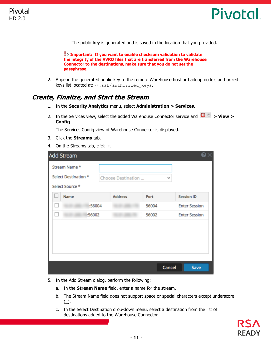

The public key is generated and is saved in the location that you provided.

**Important: If you want to enable checksum validation to validate the integrity of the AVRO files that are transferred from the Warehouse Connector to the destinations, make sure that you do not set the passphrase.**

2. Append the generated public key to the remote Warehouse host or hadoop node's authorized keys list located at:~/.ssh/authorized keys.

#### <span id="page-10-0"></span>**Create, Finalize, and Start the Stream**

- 1. In the **Security Analytics** menu, select **Administration > Services**.
- 2. In the Services view, select the added Warehouse Connector service and  $\mathbf{\ddot{C}} \otimes$  > **View** > **Config**.

The Services Config view of Warehouse Connector is displayed.

- 3. Click the **Streams** tab.
- 4. On the Streams tab, click **+**.

| <b>Add Stream</b>                                        |                    |              | © ×                  |
|----------------------------------------------------------|--------------------|--------------|----------------------|
| Stream Name *<br>Select Destination *<br>Select Source * | Choose Destination | $\checkmark$ |                      |
| ш<br>Name                                                | <b>Address</b>     | Port         | <b>Session ID</b>    |
| :56004<br>H                                              |                    | 56004        | <b>Enter Session</b> |
| :56002                                                   |                    | 56002        | <b>Enter Session</b> |
|                                                          |                    |              |                      |
|                                                          |                    |              |                      |
|                                                          |                    |              |                      |
|                                                          |                    |              |                      |
|                                                          |                    | Cancel       | <b>Save</b>          |

- 5. In the Add Stream dialog, perform the following:
	- a. In the **Stream Name** field, enter a name for the stream.
	- b. The Stream Name field does not support space or special characters except underscore  $(\_)$ .
	- c. In the Select Destination drop-down menu, select a destination from the list of destinations added to the Warehouse Connector.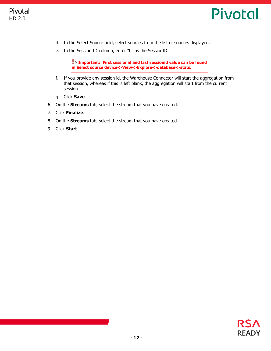

- d. In the Select Source field, select sources from the list of sources displayed.
- e. In the Session ID column, enter "0" as the SessionID

**Important: First sessionid and last sessionid value can be found in Select source device->View->Explore->database->stats.**

- f. If you provide any session id, the Warehouse Connector will start the aggregation from that session, whereas if this is left blank, the aggregation will start from the current session.
- g. Click **Save**.
- 6. On the **Streams** tab, select the stream that you have created.
- 7. Click **Finalize**.
- 8. On the **Streams** tab, select the stream that you have created.
- 9. Click **Start**.